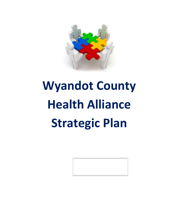

# **Wyandot County Health Alliance Strategic Plan**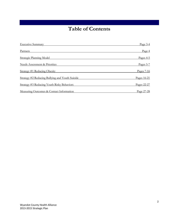## **Table of Contents**

| <b>Executive Summary</b>                        | Page $3-4$  |
|-------------------------------------------------|-------------|
| Partners                                        | Page 4      |
| <b>Strategic Planning Model</b>                 | Pages 4-5   |
| <b>Needs Assessment &amp; Priorities</b>        | Pages 5-7   |
| Strategy #1 Reducing Obesity                    | Pages 7-16  |
| Strategy #2 Reducing Bullying and Youth Suicide | Pages 16-21 |
| Strategy #3 Reducing Youth Risky Behaviors      | Pages 22-27 |
| Measuring Outcomes & Contact Information        | Page 27-28  |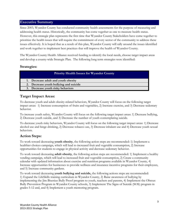#### **Executive Summary**

Since 2003, Wyandot County has conducted community health assessments for the purpose of measuring and addressing health status. Historically, the community has come together as one to measure health status. However, this strategic plan represents the first time that Wyandot County Stakeholders have come together to prioritize the health issues that will require the commitment of every sector of the community to address these issues effectively. It is hoped that as a result of this plan, Wyandot County will rally around the issues identified and work together to implement best practices that will improve the health of Wyandot County.

The Wyandot County Health Alliance received funding to identify the local needs, choose target impact areas and develop a county-wide Strategic Plan. The following long term strategies were identified:

#### **Strategies:**

| <b>Priority Health Issues for Wyandot County</b> |  |  |
|--------------------------------------------------|--|--|
| 1. Decrease adult and youth obesity              |  |  |
| 2. Decrease youth bullying and suicide           |  |  |
| 3. Decrease youth risky behaviors                |  |  |

#### **Target Impact Areas:**

To decrease youth and adult obesity-related behaviors, Wyandot County will focus on the following target impact areas: 1) Increase consumption of fruits and vegetables, 2) Increase exercise, and 3) Decrease sedentary behavior.

To increase youth safety, Wyandot County will focus on the following target impact areas: 1) Decrease bullying, 2) Decrease youth suicide, and 3) Decrease the number of youth contemplating suicide.

To decrease youth risky behaviors, Wyandot County will focus on the following target impact areas: 1) Decrease alcohol use and binge drinking, 2) Decrease tobacco use, 3) Decrease inhalant use and 4) Decrease youth sexual behaviors.

## **Action Steps:**

To work toward decreasing **youth obesity**, the following action steps are recommended: 1) Implement a healthier choices campaign, which will lead to increased fruit and vegetable consumption, 2) Increase opportunities for students to engage in physical activity and decrease sedentary behavior.

To work toward decreasing **adult obesity**, the following action steps are recommended: 1) Implement a healthy vending campaign, which will lead to increased fruit and vegetable consumption, 2) Create a community calendar with updated information about exercise and nutrition programs available in Wyandot County, 4) Increase opportunities for businesses to provide wellness and insurance incentive programs for their employees, and 5) Increase community gardens.

To work toward decreasing **youth bullying and suicide,** the following actions steps are recommended: 1) Expand the LifeSkills training curriculum in Wyandot County, 2) Raise awareness of bullying by implementing the Jim Bisenius Bully Proof program to youth, teachers and parents, 4) Implement the Olweus Bully Prevention Program in Wyandot County schools, 3) Implement The Signs of Suicide (SOS) program in grades 5-12 and, and 4) Implement a youth mentoring program.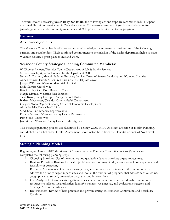To work toward decreasing **youth risky behaviors,** the following actions steps are recommended: 1) Expand the LifeSkills training curriculum in Wyandot County, 2) Increase awareness of youth risky behaviors for parents, guardians and community members, and 3) Implement a family mentoring program.

#### **Partners**

#### **Acknowledgements**

The Wyandot County Health Alliance wishes to acknowledge the numerous contributions of the following partners and stakeholders. Their continued commitment to the mission of the health department helps to make Wyandot County a great place to live and work.

#### **Wyandot County Strategic Planning Committee Members:**

W. Thomas Bennett, Wyandot County Department of Job & Family Services Melissa Bianchi, Wyandot County Health Department, WIC Nancy A. Cochran, Mental Health & Recovery Services Board of Seneca, Sandusky and Wyandot Counties Anne Denman, Family & Children First Council, Help Me Grow Joseph D'Ettorre, Wyandot Memorial Hospital Kelly Garrett, United Way Kris Joseph, Open Door Resource Center Margie Kimmel, Waistline Risk Solutions Steve Kozel, Carey Exempted Village School District Barbara Mewhorter, Wyandot County Health Department Gregory Moon, Wyandot County Office of Economic Development Alissa Paolella, Daily Chief Union Sandi Shutt, Community Representative Darlene Steward, Wyandot County Health Department Pam Stone, United Way Jane Weber, Wyandot County Home Health Agency

This strategic planning process was facilitated by Britney Ward, MPH, Assistant Director of Health Planning, and Michelle Von Lehmden, Health Assessment Coordinator, both from the Hospital Council of Northwest Ohio.

#### **Strategic Planning Model**

Beginning in October 2012, the Wyandot County Strategic Planning Committee met six (6) times and completed the following planning steps:

- 1. Choosing Priorities- Use of quantitative and qualitative data to prioritize target impact areas
- 2. Ranking Priorities- Ranking the health problems based on magnitude, seriousness of consequences, and feasibility of correcting
- 3. Resource Assessment- Determine existing programs, services, and activities in the community that address the priority target impact areas and look at the number of programs that address each outcome, geographic area served, prevention programs, and interventions
- 4. Gap Analysis- Determine existing discrepancies between community needs and viable community resources to address local priorities; Identify strengths, weaknesses, and evaluation strategies; and Strategic Action Identification
- 5. Best Practices- Review of best practices and proven strategies, Evidence Continuum, and Feasibility Continuum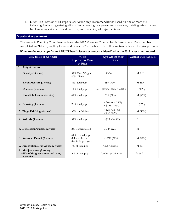6. Draft Plan- Review of all steps taken; Action step recommendations based on one or more the following: Enhancing existing efforts, Implementing new programs or services, Building infrastructure, Implementing evidence based practices, and Feasibility of implementation

#### **Needs Assessment**

The Strategic Planning Committee reviewed the 2012 Wyandot County Health Assessment. Each member completed an "Identifying Key Issues and Concerns" worksheet. The following two tables are the group results.

#### **What are the most significant ADULT health issues or concerns identified in the 2012 assessment report?**

| <b>Key Issue or Concern</b>                                                  | $\frac{0}{6}$ of<br><b>Population Most</b><br>at Risk       | <b>Age Group Most</b><br>at Risk      | <b>Gender Most at Risk</b> |
|------------------------------------------------------------------------------|-------------------------------------------------------------|---------------------------------------|----------------------------|
| 1. Weight Control                                                            |                                                             |                                       |                            |
| Obesity (10 votes)                                                           | 37% Over Weight<br>40% Obese                                | $30 - 64$                             | M & F                      |
| <b>Blood Pressure (7 votes)</b>                                              | 44% total pop                                               | $65 + (76\%)$                         | M & F                      |
| Diabetes (6 votes)                                                           | 14% total pop                                               | $(65 + (22\%) / \leq 25$ K (28%)      | F(18%)                     |
| <b>Blood Cholesterol (5 votes)</b>                                           | $41\%$ total pop                                            | $65+ (68%)$                           | M(45%)                     |
| 2. Smoking (4 votes)                                                         | 20% total pop                                               | $<$ 30 years (23%)<br>$<$ \$25K (23%) | F(26%)                     |
| 3. Binge Drinking (4 votes)                                                  | 39% of drinkers                                             | $<$ \$25 K (57%)<br>30-64 (43%)       | $M(50\%)$                  |
| 4. Arthritis (4 votes)                                                       | 37% total pop                                               | $<$ \$25 K (45%)                      | $_{\rm F}$                 |
| 5. Depression/suicide (2 votes)                                              | 2% Contemplated                                             | 35-44 years                           | M                          |
| 6. Access to Dental (2 votes)                                                | 44% of total pop<br>did not visit a<br>dentist in past year | $<$ \$25K (59%)                       | M(48%)                     |
| 7. Prescription Drug Abuse (2 votes)                                         | 7% of total pop                                             | $<$ \$25K (12%)                       | M & F                      |
| 8. Marijuana use (2 votes)<br>*25% of drug users reported using<br>every day | 3% of total pop                                             | Under age 30 (6%)                     | M & F                      |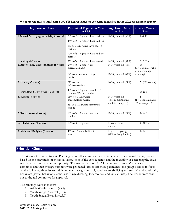| <b>Key Issue or Concern</b>                | <b>Percent of Population Most</b><br>at Risk                                              | <b>Age Group Most</b><br>at Risk                          | Gender Most at<br><b>Risk</b>             |
|--------------------------------------------|-------------------------------------------------------------------------------------------|-----------------------------------------------------------|-------------------------------------------|
| 1. Sexual Activity (grades 7-12) (8 votes) | 33% of 7-12 graders have had sex                                                          | 17-18 years old (55%)                                     | $M\& F$                                   |
|                                            | 44% of 9-12 graders have had sex                                                          |                                                           |                                           |
|                                            | $8\%$ of 7-12 graders have had 4+<br>partners                                             |                                                           |                                           |
|                                            | $10\%$ of 9-12 graders have had 4+<br>partners                                            |                                                           |                                           |
| Sexting (2 Votes)                          | 25% of 6-12 graders have sexted                                                           | 17-18 years old (34%)                                     | M(29%)                                    |
| 2. Alcohol use/Binge drinking (8 votes)    | 24% of 6-12 graders are<br>current drinkers                                               | 14-16 years old (66%)                                     | M<br>(71% of males who<br>drink are binge |
|                                            | 64% of drinkers are binge<br>drinkers                                                     | 17-18 years old (62%)                                     | drinking)                                 |
| 3. Obesity (7 votes)                       | 21% obese<br>14% overweight                                                               | 14-16 years old (24%)                                     | $M$ (30% obese)                           |
| Watching TV 3+ hours (2 votes)             | 49% of 6-12 graders watched $3+$<br>hours of TV on avg. day                               |                                                           | M & F                                     |
| 4. Suicide (7 votes)                       | $11\%$ of 6-12 graders<br>contemplated suicide<br>6% of 6-12 graders attempted<br>suicide | 14-16 years old<br>(13% contemplated<br>and 8% attempted) | F<br>(17% contemplated<br>9% attempted)   |
| 5. Tobacco use (6 votes)                   | 16% of 6-12 graders current<br>smoker                                                     | 17-18 years old (24%)                                     | M & F                                     |
| 6. Inhalant use (4 votes)                  | 12% of 6-12 graders                                                                       | 13 years old or<br>younger                                | M(13%)                                    |
| 7. Violence/Bullying (3 votes)             | 45% 6-12 grade bullied in past<br>year                                                    | 13 years or younger<br>(41% verbally bullied)             | M & F                                     |

**What are the most significant YOUTH health issues or concerns identified in the 2012 assessment report?**

#### **Priorities Chosen**

The Wyandot County Strategic Planning Committee completed an exercise where they ranked the key issues based on the magnitude of the issue, seriousness of the consequence, and the feasibility of correcting the issue. A total score was given to each priority. The max score was 30. All committee members' scores were combined and then average numbers were produced. Based off these parameters, the group decided to focus on the following three issues: adult and youth weight control, youth safety (bullying and suicide) and youth risky behaviors (sexual behavior, alcohol use/binge drinking, tobacco use, and inhalant use). The results were sent out to the full committee for approval.

The rankings were as follows:

- 1. Adult Weight Control (25.9)
- 2. Youth Weight Control (24.3)
- 3. Youth Sexual Behavior (23.0)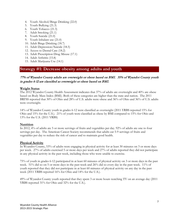- 4. Youth Alcohol/Binge Drinking (22.0)
- 5. Youth Bullying (21.3)
- 6. Youth Tobacco (21.3)
- 7. Adult Smoking (21.1)
- 8. Youth Suicide (21.0)
- 9. Youth Inhalant use (21.0)
- 10. Adult Binge Drinking (18.7)
- 11. Adult Depression/Suicide (18.5)
- 12. Access to Dental Care (18.2)
- 13. Adult Prescription Drug Misuse (17.1)
- 14. Adult Arthritis (15.8)
- 15. Adult Marijuana Use (14.1)

#### **Strategy #1: Decrease obesity among adults and youth**

#### 77% of Wyandot County adults are overweight or obese based on BMI. 35% of Wyandot County youth in grades 6-12 are classified as overweight or obese based on BMI.

#### **Weight Status**

The 2012 Wyandot County Health Assessment indicates that 37% of adults are overweight and 40% are obese based on Body Mass Index (BMI). Both of these categories are higher than the state and nation. The 2011 BRFSS reported that 30% of Ohio and 28% of U.S. adults were obese and 36% of Ohio and 36% of U.S. adults were overweight.

14% of Wyandot County youth in grades 6-12 were classified as overweight (2011 YRBS reported 15% for Ohio and 15% for the U.S.). 21% of youth were classified as obese by BMI compared to 15% for Ohio and 13% for the U.S. (2011 YRBS)

#### **Nutrition**

In 2012, 4% of adults ate 5 or more servings of fruits and vegetables per day. 92% of adults ate one to four servings per day. The American Cancer Society recommends that adults eat 5-9 servings of fruits and vegetables per day to reduce the risk of cancer and to maintain good health.

#### **Physical Activity**

In Wyandot County, 53% of adults were engaging in physical activity for at least 30 minutes on 3 or more days per week. 27% of adults exercised 5 or more days per week and 27% of adults reported they did not participate in any physical activity in the past week, including those who were unable to exercise.

75% of youth in grades 6-12 participated in at least 60 minutes of physical activity on 3 or more days in the past week. 51% did so on 5 or more days in the past week and 26% did so every day in the past week. 11% of youth reported that they did not participate in at least 60 minutes of physical activity on any day in the past week (2011 YRBS reported 16% for Ohio and 14% for the U.S.).

49% of Wyandot County youth reported that they spent 3 or more hours watching TV on an average day (2011 YRBS reported 31% for Ohio and 32% for the U.S.).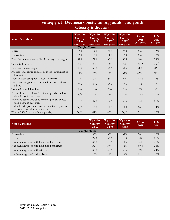## **Strategy #1: Decrease obesity among adults and youth Obesity indicators**

| <b>Youth Variables</b>                                                                     | Wyandot<br>County<br>2006<br>$(6-12) grad$ e) | <b>Wyandot</b><br>County<br>2009<br>$(6-12 \text{ grade})$ | Wyandot<br>County<br>2012<br>$(6-12 \text{ grade})$ | Wyandot<br>County<br>2012<br>$(9-12 \text{ grade})$ | Ohio<br>2011<br>$(9-12 grade)$ | U.S.<br>2011<br>$(9-12 \text{ grade})$ |
|--------------------------------------------------------------------------------------------|-----------------------------------------------|------------------------------------------------------------|-----------------------------------------------------|-----------------------------------------------------|--------------------------------|----------------------------------------|
|                                                                                            |                                               | <b>Weight Control</b>                                      |                                                     |                                                     |                                |                                        |
| Obese                                                                                      | 16%                                           | $14\%$                                                     | 21%                                                 | $22\%$                                              | 15%                            | 13%                                    |
| Overweight                                                                                 | 16%                                           | 13%                                                        | 14%                                                 | 16%                                                 | 15%                            | 15%                                    |
| Described themselves as slightly or very overweight                                        | 31%                                           | 27%                                                        | 32%                                                 | 33%                                                 | 30%                            | 29%                                    |
| Trying to lose weight                                                                      | 49%                                           | 47%                                                        | 46%                                                 | 50%                                                 | N/A                            | N/A                                    |
| Exercised to lose weight                                                                   | 40%                                           | 50%                                                        | 53%                                                 | 54%                                                 | $61\%*$                        | $61\%*$                                |
| Ate less food, fewer calories, or foods lower in fat to<br>lose weight                     | $11\%$                                        | 25%                                                        | 28%                                                 | 32%                                                 | $43\%*$                        | $39\%*$                                |
| Went without eating for 24 hours or more                                                   | $1\%$                                         | $3\%$                                                      | $5\%$                                               | $6\%$                                               | 13%                            | 12%                                    |
| Took diet pills, powders, or liquids without a doctor's<br>advice                          | $1\%$                                         | $2\%$                                                      | $2\%$                                               | $3\%$                                               | $6\%$                          | $5\%$                                  |
| Vomited or took laxatives                                                                  | $0\%$                                         | $1\%$                                                      | $2\%$                                               | $3\%$                                               | $6\%$                          | $4\%$                                  |
| Physically active at least 60 minutes per day on less<br>than 7 days in past week          | N/A                                           | 73%                                                        | 74%                                                 | 76%                                                 | 75%                            | 71%                                    |
| Physically active at least 60 minutes per day on less<br>than 5 days in past week          | N/A                                           | 49%                                                        | 49%                                                 | 50%                                                 | $55\%$                         | 51%                                    |
| Did not participate in at least 60 minutes of physical<br>activity on any day in past week | N/A                                           | 13%                                                        | $11\%$                                              | $11\%$                                              | 16%                            | $14\%$                                 |
| Watched TV 3 or more hours per day                                                         | N/A                                           | 41%                                                        | 49%                                                 | N/A                                                 | 31%                            | 32%                                    |

| <b>Adult Variables</b>                         | Wyandot<br>County<br>2006 | <b>Wyandot</b><br><b>County</b><br>2009 | Wyandot<br><b>County</b><br>2012 | Ohio<br>2011 | U.S.<br>2011 |
|------------------------------------------------|---------------------------|-----------------------------------------|----------------------------------|--------------|--------------|
|                                                | <b>Weight Status</b>      |                                         |                                  |              |              |
| Overweight                                     | 35%                       | 39%                                     | 37%                              | 36%          | 36%          |
| Obese                                          | $27\%$                    | 33%                                     | 40%                              | 30%          | 28%          |
| Has been diagnosed with high blood pressure    | 34%                       | 40%                                     | $44\%$                           | 33%          | $31\%$       |
| Has been diagnosed with high blood cholesterol | $32\%$                    | $37\%$                                  | $41\%$                           | 39%          | 38%          |
| Has been diagnosed with arthritis              | 30%                       | 30%                                     | 37%                              | 30%          | 24%          |
| Has been diagnosed with diabetes               | 10%                       | $11\%$                                  | $14\%$                           | $11\%$       | 10%          |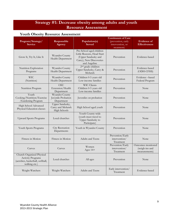## **Strategy #1: Decrease obesity among adults and youth Resource Assessment**

## **Youth Obesity Resource Assessment**

| Program/Strategy/<br><b>Service</b>                                                                        | Responsible<br>Agency                                      | Population(s)<br><b>Served</b>                                                                                           | <b>Continuum of Care</b><br>(prevention, early<br>intervention, or<br>treatment) | <b>Evidence of</b><br><b>Effectiveness</b>            |
|------------------------------------------------------------------------------------------------------------|------------------------------------------------------------|--------------------------------------------------------------------------------------------------------------------------|----------------------------------------------------------------------------------|-------------------------------------------------------|
| Grow It, Try It, Like It                                                                                   | Wyandot County<br>Health Department                        | Pre-School aged children<br>Little Reasons, Head Start<br>(Upper Sandusky and<br>Carey), New Discoveries<br>and Angeline | Prevention                                                                       | Evidence-based                                        |
| Nutrition Exploration<br>Programs                                                                          | Wyandot County<br>Health Department                        | 2 <sup>nd</sup> grade children<br>Upper Sandusky, Carey &<br>Mohawk                                                      | Prevention                                                                       | Evidence-based<br>(ODH-CFHS)                          |
| <b>WIC</b><br>(Nutrition)                                                                                  | Wyandot County<br>Health Department                        | Children 0-5 years old<br>Low-income families                                                                            | Prevention                                                                       | Evidence-based<br>Federal Program                     |
| Nutrition Program                                                                                          | <b>OSU</b><br>Extension/Health<br>Department               | <b>WIC Clients</b><br>Children 0-5 years old<br>Low-income families                                                      | Prevention                                                                       | None                                                  |
| Youth<br>Cooking/Nutrition/Exercise<br>/Gardening Program                                                  | Wyandot County<br>Juvenile Probation<br>Department         | Juveniles on probation                                                                                                   | Prevention                                                                       | None                                                  |
| High School Advanced<br>Physical Education classes                                                         | Upper Sandusky,<br>Carey and Mohawk<br><b>High Schools</b> | High School aged youth                                                                                                   | Prevention                                                                       | None                                                  |
| <b>Upward Sports Programs</b>                                                                              | Local churches                                             | Youth County-wide<br>(youth must travel to<br>Upper Sandusky to<br>Participate)                                          | Prevention                                                                       | None                                                  |
| Youth Sports Programs                                                                                      | City Recreation<br>Departments                             | Youth in Wyandot County                                                                                                  | Prevention                                                                       | None                                                  |
| Fitness in Motion                                                                                          | Fitness in Motion                                          | Adults and Teens                                                                                                         | Prevention/Early<br>intervention/<br>Treatment                                   | None                                                  |
| Curves                                                                                                     | Curves                                                     | Women<br>Ages $14+$                                                                                                      | Prevention/Early<br>intervention/<br>Treatment                                   | Outcomes monitored<br>(weigh-ins and<br>measurements) |
| Church Organized Physical<br><b>Activity Programs</b><br>(aerobics, basketball, softball,<br>walking etc.) | Local churches                                             | All ages                                                                                                                 | Prevention                                                                       | None                                                  |
| Weight Watchers                                                                                            | Weight Watchers                                            | Adults and Teens                                                                                                         | Early intervention/<br>Treatment                                                 | Evidence-based                                        |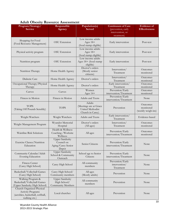| Program/Strategy/<br><b>Service</b>                                                                        | Responsible<br>Agency                                              | Population(s)<br><b>Served</b>                                           | <b>Continuum of Care</b><br>(prevention, early<br>intervention, or<br>treatment) | <b>Evidence</b> of<br><b>Effectiveness</b>  |
|------------------------------------------------------------------------------------------------------------|--------------------------------------------------------------------|--------------------------------------------------------------------------|----------------------------------------------------------------------------------|---------------------------------------------|
| Shopping for Food<br>(Food Resource Management)                                                            | OSU Extension                                                      | Low income adults<br>Ages $18+$<br>(food stamp eligible)                 | Early intervention                                                               | Post-test                                   |
| Physical activity program                                                                                  | OSU Extension                                                      | Low income adults<br>Ages $18+$<br>(food stamp eligible)                 | Early intervention                                                               | Post-test                                   |
| Nutrition program                                                                                          | OSU Extension                                                      | Low income adults<br>Ages 18+ (food stamp<br>eligible)                   | Early intervention                                                               | Post-test                                   |
| Nutrition Therapy                                                                                          | Home Health Agency                                                 | Doctor's orders<br>(Mostly senior<br>citizens)                           | Intervention/<br>Treatment                                                       | Outcomes<br>monitored                       |
| Diabetic Care                                                                                              | Home Health Agency                                                 | Doctor's orders                                                          | Intervention/<br>Treatment                                                       | Outcomes<br>monitored                       |
| Occupational Therapy/Physical<br>Therapy                                                                   | Home Health Agency                                                 | Doctor's orders                                                          | Early intervention/<br>Treatment                                                 | Outcomes<br>monitored                       |
| Curves                                                                                                     | Curves                                                             | Women<br>Ages $14+$                                                      | Prevention/Early<br>intervention/Treatment                                       | Outcomes<br>monitored                       |
| Fitness in Motion                                                                                          | Fitness in Motion                                                  | Adults and Teens                                                         | Prevention/Early<br>intervention/Treatment                                       | None                                        |
| <b>TOPS</b><br>(Taking Off Pounds Sensibly)                                                                | <b>TOPS</b>                                                        | Adults<br>(Meetings are at Grace<br>United Methodist<br>Church in Carey) | Prevention                                                                       | Outcomes<br>monitored<br>(weekly weigh-ins) |
| Weight Watchers                                                                                            | Weight Watchers                                                    | Adults and Teens                                                         | Early intervention/<br>Treatment                                                 | Evidence-based                              |
| Weight Management Program                                                                                  | Wyandot Memorial<br>Hospital                                       | Doctor's orders<br>(All ages)                                            | Intervention/<br>Treatment                                                       | Outcomes<br>monitored                       |
| Waistline Risk Solutions                                                                                   | Health & Wellness<br>Coaching /Worksite<br>Wellness                | All ages                                                                 | Prevention/Early<br>intervention/Treatment                                       | Outcomes<br>monitored                       |
| Exercise Classes/Nutrition<br>Education                                                                    | <b>Upper Sandusky</b><br>Council on<br>Aging/Carey Senior<br>Depot | Senior Citizens                                                          | Prevention/Early<br>intervention/Treatment                                       | None                                        |
| Community Calendar/Adult<br>Evening Education                                                              | <b>Upper Sandusky</b><br>School & Community<br>Outreach            | School age to Senior<br>Citizens                                         | Prevention/Early<br>intervention/Treatment                                       | None                                        |
| <b>Fitness Center</b><br>(Carey High School)                                                               | Carey High School                                                  | All community<br>members                                                 | Prevention/Early<br>intervention/<br>Treatment                                   | None                                        |
| Basketball/Volleyball Games<br>(Carey High School)                                                         | Carey High School/<br>Community members                            | All ages<br>(Mostly adults)                                              | Prevention                                                                       | None                                        |
| Walking Program &<br>Basketball/Volleyball Games<br>(Upper Sandusky High School)                           | <b>Upper Sandusky</b><br>High School/<br>Community Members         | All community<br>members                                                 | Prevention                                                                       | None                                        |
| Church Organized Physical<br><b>Activity Programs</b><br>(aerobics, basketball, softball,<br>walking etc.) | Local churches                                                     | All ages                                                                 | Prevention                                                                       | None                                        |

## **Adult Obesity Resource Assessment**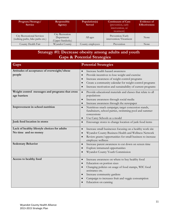| Program/Strategy/<br><b>Service</b>                                   | Responsible<br>Agency                             | Population(s)<br><b>Served</b> | <b>Continuum of Care</b><br>(prevention, early<br>intervention, or<br>treatment) | Evidence of<br><b>Effectiveness</b> |
|-----------------------------------------------------------------------|---------------------------------------------------|--------------------------------|----------------------------------------------------------------------------------|-------------------------------------|
| <b>City Recreational Services</b><br>(walking paths, bike paths etc.) | City Recreation<br>Department<br>(Upper Sandusky) | All ages                       | Prevention/Early<br>intervention/Treatment                                       | <b>None</b>                         |
| County Health Fair                                                    | Wyandot County                                    | County employees               | Prevention                                                                       | None                                |

| Strategy #1: Decrease obesity among adults and youth |  |
|------------------------------------------------------|--|
| <b>Gaps &amp; Potential Strategies</b>               |  |

| Gaps                                                                 | <b>Potential Strategies</b>                                                                                                                                                                                                                                                                                                   |
|----------------------------------------------------------------------|-------------------------------------------------------------------------------------------------------------------------------------------------------------------------------------------------------------------------------------------------------------------------------------------------------------------------------|
| Attitudes of acceptance of overweight/obese<br>people                | Increase health hazard awareness<br>$\bullet$<br>Provide incentives to lose weight and exercise<br>$\bullet$<br>Increase awareness of weight control programs<br>$\bullet$<br>Create a community calendar for weight control programs<br>$\bullet$<br>Increase motivation and sustainability of current programs<br>$\bullet$ |
| Weight control messages and programs that cross<br>age barriers      | Provide educational materials and classes that relate to all<br>$\bullet$<br>populations<br>Increase awareness through social media<br>$\bullet$<br>Increase awareness through the newspaper<br>$\bullet$                                                                                                                     |
| Improvement in school nutrition                                      | Nutritious snack campaign; target concession stands,<br>$\bullet$<br>fundraisers, school parties, swimming pool and summer<br>concessions<br>Use Carey Schools as a model<br>$\bullet$                                                                                                                                        |
| Junk food location in stores                                         | Encourage stores to change location of junk food items<br>$\bullet$                                                                                                                                                                                                                                                           |
| Lack of healthy lifestyle choices for adults<br>No time and no money | Increase small businesses focusing on a healthy work site<br>$\bullet$<br>Wyandot County Business Health and Wellness Network<br>$\bullet$<br>Review grants/opportunities for small business to increase<br>employee wellness                                                                                                 |
| <b>Sedentary Behavior</b>                                            | Increase parent awareness to cut down on screen time<br>$\bullet$<br>Explore intramural opportunities<br>$\bullet$<br>Wyandot County Youth Commission                                                                                                                                                                         |
| Access to healthy food                                               | Increase awareness on where to buy healthy food<br>$\bullet$<br>Education on portion sizes<br>$\bullet$<br>Changing policies on usage of food stamps, WIC food<br>assistance etc.<br>Increase community gardens<br>Campaign to increases fruit and veggie consumption<br>Education on canning                                 |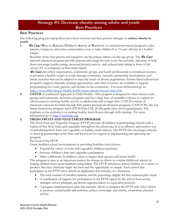## **Strategy #1: Decrease obesity among adults and youth Best Practices**

#### **Best Practices**

The following programs and policies have been reviewed and have proven strategies to **reduce obesity in youth**:

**1.** We Can! (Ways to Enhance Children's Activity & Nutrition) is a national movement designed to give parents, caregivers, and entire communities a way to help children 8 to 13 years old stay at a healthy weight.

Research shows that parents and caregivers are the *primary influence* on this age group. The We Can! national education program provides parents and caregivers with tools, fun activities, and more to help them encourage healthy eating, increased physical activity, and reduced time sitting in front of the screen (TV or computer) in their entire family.

We Can! also offers organizations, community groups, and health professionals a centralized resource to promote a healthy weight in youth through community outreach, partnership development, and media activities that can be adapted to meet the needs of diverse populations. Science-based educational programs, support materials, training opportunities, and other resources are available to support programming for youth, parents, and families in the community. For more information go to: <http://www.nhlbi.nih.gov/health/public/heart/obesity/wecan/index.htm>

**2. CATCH** (Coordinated Approach to Child Health) **-** This program is designed for after-school youth groups and community recreation programs and has a large base of scientific evidence to support its effectiveness in teaching healthy activity to adolescents and younger kids. CATCH consists of classroom curricula for third through fifth grades, parental involvement programs, CATCH PE, the Eat Smart foodservice program and CATCH Kids Club (K-8th grade after-school participants). The emphasis in the curricula is on making healthy food choices through skills training. For more information go to [http://catchinfo.org](http://catchinfo.org/)

#### **3. FRESH FRUITS AND VEGETABLES PROGRAM**

The Fresh Fruit and Vegetable Program (FFVP) provides all children in participating schools with a variety of free fresh fruits and vegetables throughout the school day. It is an effective and creative way of introducing fresh fruits and vegetables as healthy snack options. The FFVP also encourages schools to develop partnerships at the State and local level for support in implementing and operating the program.

#### The Goal of the FFVP

Create healthier school environments by providing healthier food choices

- Expand the variety of fruits and vegetables children experience
- Increase children's fruit and vegetable consumption
- Make a difference in children's diets to impact their present and future health

This program is seen as an important catalyst for change in efforts to combat childhood obesity by helping children learn more healthful eating habits. The FFVP introduces school children to a variety of produce that they otherwise might not have had the opportunity to sample. Each school that participates in the FFVP must submit an application that includes, at a minimum:

- The total number of enrolled students and the percentage eligible for free/reduced price meals
- A certification of support for participation in the FFVP signed by the school food service manager, school principal, *and* district superintendent (or equivalent position)
- A program implementation plan that includes efforts to integrate the FFVP with other efforts to promote sound health and nutrition, reduce overweight and obesity, or promote physical activity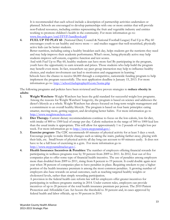It is recommended that each school include a description of partnership activities undertaken or planned. Schools are encouraged to develop partnerships with one or more entities that will provide non‐Federal resources, including entities representing the fruit and vegetable industry and entities working to promote children's health in the community. For more information go to: [www.fns.usda.gov/cnd/FFVP/handbook.pdf](http://www.fns.usda.gov/cnd/FFVP/handbook.pdf)

**4. FUEL UP TO PLAY 60**- (National Dairy Council & National Football League) Fuel Up to Play 60 encourages youth to eat healthy and move more — and studies suggest that well-nourished, physically active kids can be better students.

Better nutrition, including eating a healthy breakfast each day, helps students get the nutrients they need and may help improve their academic performance. What's more, being physically active may help students improve self-esteem, cognitive function and test scores.

And with Fuel Up to Play 60, healthy students can have more fun! By participating in the program, youth have the opportunity to earn rewards and prizes. Those students who help build the program may benefit even more. In fact, researchers say peer group interaction may help to influence healthy choices, and student involvement can lead to motivation and engagement in learning.7

 Schools have the chance to receive \$4,000 through a competitive, nationwide funding program to help implement the program successfully. The next application deadline is January 15, 2013. For more information go to: <http://school.fueluptoplay60.com/home.php>

The following programs and policies have been reviewed and have proven strategies to **reduce obesity in adults**:

- **1. Weight Watchers-** [Weight Watchers](http://www.webmd.com/diet/weight-watchers-what-it-is) has been the gold standard for successful [weight loss](http://www.webmd.com/diet/default.htm) programs. Among the reasons for Weight Watchers' longevity, the program is based on science and addresses the dieter's lifestyle as a whole. Weight Watchers has always focused on long-term weight management and a commitment to an overall healthy lifestyle. The program is based on four basic principles: eating smarter, moving more, getting support, and developing better habits. For more information go to [http://www.weightwatchers.com.](http://www.weightwatchers.com/)
- **2. Diet Therapy-** Current dietary recommendations continue to focus on the low-calorie, low-fat diet, with intake of 800 to 1500 kcal of energy per day. Caloric reduction in the range of 500 to 1000 kcal less than the usual intake is appropriate. This will allow for approximately 1 to 2 pounds of weight loss per week. For more information go to [http://www.mypyramid.gov/.](http://www.mypyramid.gov/)
- **3. Exercise program-** The CDC recommends 60 minutes of physical activity for at least 5 days a week. Encourage people to make lifestyle changes such as taking the stairs, parking farther away, playing with their kids, etc. Small bouts of physical activity all day long can account to 60 minutes easily. It does not have to be a full hour of exercising in a gym. For more information go to [http://www.mypyramidtracker.gov/.](http://www.mypyramidtracker.gov/)
- **4. Health Insurance Incentives & Penalties:** The number of employers offering financial rewards for participating in wellness programs rose by 50 percent from 2009 to 2011. In 2012, four out of five companies plan to offer some type of financial health incentive. The use of penalties among employers more than doubled from 2009 to 2011, rising from 8 percent to 19 percent. It could double again next year when 38 percent of companies plan to have penalties in place. Requiring smokers to pay a higher portion of the health insurance premium is among the most common penalties. A growing number of employers also base rewards on actual outcomes, such as reaching targeted healthy weights or cholesterol levels, rather than simply rewarding participation.

A provision in the federal health care reform law will let employers offer greater incentives for participating in wellness programs starting in 2014. Under current rules, employers can provide incentives of up to 20 percent of the total health insurance premium per person. The 2010 Patient Protection and Affordable Care Act boosts the threshold to 30 percent and, in cases approved by federal health and labor officials, up to 50 percent in 2014.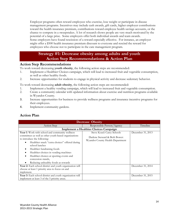Employer programs often reward employees who exercise, lose weight or participate in disease management programs. Incentives may include cash awards, gift cards, higher employer contributions toward the health insurance premium, contributions toward employee health savings accounts, or the chance to compete in a sweepstakes. A lot of research shows people are very much motivated by the potential of a large prize. Some employers offer both individual awards and team awards. Some employers have found rescission of a reward especially effective. For instance, an employer might offer a \$500 health insurance premium discount to everyone and rescind the reward for employees who choose not to participate in the care management program.

## **Strategy #1: Decrease obesity among adults and youth Action Step Recommendations & Action Plan**

#### **Action Step Recommendations**

To work toward decreasing **youth obesity**, the following action steps are recommended:

- 1. Implement a Healthier Choices campaign, which will lead to increased fruit and vegetable consumption, as well as other healthy foods.
- 2. Increase opportunities for students to engage in physical activity and decrease sedentary behavior.

To work toward decreasing **adult obesity**, the following action steps are recommended:

- 1. Implement a healthy vending campaign, which will lead to increased fruit and vegetable consumption.
- 2. Create a community calendar with updated information about exercise and nutrition programs available in Wyandot County.
- 3. Increase opportunities for business to provide wellness programs and insurance incentive programs for their employees.
- 4. Implement community gardens.

| <b>Decrease Obesity</b>                                                              |                                                                   |                   |  |  |  |
|--------------------------------------------------------------------------------------|-------------------------------------------------------------------|-------------------|--|--|--|
| Action Step                                                                          | Responsible Person/Agency                                         | Timeline          |  |  |  |
| <b>Implement a Healthier Choices Campaign</b>                                        |                                                                   |                   |  |  |  |
| Year 1: Work with school and community wellness                                      | Steve Kozel: Carey Schools                                        | December 31, 2013 |  |  |  |
| committees as well as other youth-based organizations<br>to introduce the following: | Darlene Steward & Beth Bower:<br>Wyandot County Health Department |                   |  |  |  |
| Healthier snack "extra choices" offered during<br>school lunches                     |                                                                   |                   |  |  |  |
| Healthier fundraising foods                                                          |                                                                   |                   |  |  |  |
| Healthier choices in vending machines                                                |                                                                   |                   |  |  |  |
| Healthier choices at sporting events and<br>concession stands,                       |                                                                   |                   |  |  |  |
| Reducing unhealthy foods as rewards                                                  |                                                                   |                   |  |  |  |
| Year 2: Each school district and youth organization will                             |                                                                   | December 31, 2014 |  |  |  |
| choose at least 1 priority area to focus on and                                      |                                                                   |                   |  |  |  |
| implement.                                                                           |                                                                   |                   |  |  |  |
| Year 3: Each school district and youth organization will                             |                                                                   | December 31, 2015 |  |  |  |
| implement at least 3 of the 5 priority areas.                                        |                                                                   |                   |  |  |  |

#### **Action Plan**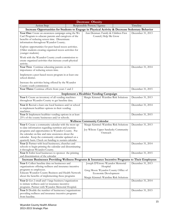| <b>Decrease Obesity</b>                                                                                                                                                                                                                                                                                                                  |  |                                                                                                                                                         |                   |  |  |
|------------------------------------------------------------------------------------------------------------------------------------------------------------------------------------------------------------------------------------------------------------------------------------------------------------------------------------------|--|---------------------------------------------------------------------------------------------------------------------------------------------------------|-------------------|--|--|
| <b>Action Step</b>                                                                                                                                                                                                                                                                                                                       |  | Responsible Person/Agency                                                                                                                               | Timeline          |  |  |
| Increase Opportunities for Students to Engage in Physical Activity & Decrease Sedentary Behavior                                                                                                                                                                                                                                         |  |                                                                                                                                                         |                   |  |  |
| Year One: Create an awareness campaign using the We<br>Can! Program to educate parents and caregivers of the<br>benefits of reducing screen time. Disseminate<br>information throughout Wyandot County.                                                                                                                                  |  | Ann Denman: Family & Children First<br>Council, Help Me Grow                                                                                            | December 31, 2013 |  |  |
| Explore opportunities for peer-based recess activities.<br>(Older students creating organized recess activities for<br>younger students)                                                                                                                                                                                                 |  |                                                                                                                                                         |                   |  |  |
| Work with the Wyandot County youth commission to<br>create organized activities that increase youth physical<br>activity.                                                                                                                                                                                                                |  |                                                                                                                                                         |                   |  |  |
| Year Two: Continue educating parents on the<br>importance of reducing screen time.                                                                                                                                                                                                                                                       |  |                                                                                                                                                         | December 31, 2014 |  |  |
| Implement a peer-based recess program in at least one<br>school district.                                                                                                                                                                                                                                                                |  |                                                                                                                                                         |                   |  |  |
| Increase the activities being offered by the Wyandot<br>County youth commission                                                                                                                                                                                                                                                          |  |                                                                                                                                                         |                   |  |  |
| Year Three: Continue efforts from years 1 and 2                                                                                                                                                                                                                                                                                          |  |                                                                                                                                                         | December 31, 2015 |  |  |
|                                                                                                                                                                                                                                                                                                                                          |  | Implement a Healthier Vending Campaign                                                                                                                  |                   |  |  |
| Year 1: Create an inventory of all vending machines<br>throughout Wyandot County to get baseline data.                                                                                                                                                                                                                                   |  | Margie Kimmel: Waistline Risk Solutions                                                                                                                 | December 31, 2013 |  |  |
| Year 2: Recruit a least one local business and/or school<br>to implement healthier options in their vending<br>machines.                                                                                                                                                                                                                 |  |                                                                                                                                                         | December 31, 2014 |  |  |
| Year 3: Implement healthier vending options in at least<br>25% of the county businesses and/or schools.                                                                                                                                                                                                                                  |  |                                                                                                                                                         | December 31, 2015 |  |  |
|                                                                                                                                                                                                                                                                                                                                          |  | <b>Wellness Community Calendar</b>                                                                                                                      |                   |  |  |
| Year 1: Create a community calendar with the most up-<br>to-date information regarding nutrition and exercise<br>programs and opportunities in Wyandot County. Put<br>the calendar on-line and raise awareness about the<br>calendar. Keep the community calendar updated on a<br>quarterly basis. Check on funding to sustain calendar. |  | Margie Kimmel: Waistline Risk Solutions<br>Joy Wilson: Upper Sandusky Community<br>Outreach                                                             | December 31, 2013 |  |  |
| Year 2: Partner with local businesses, churches and<br>schools to begin printing the calendar and disseminating<br>it throughout Wyandot County.                                                                                                                                                                                         |  |                                                                                                                                                         | December 31, 2014 |  |  |
| Year 3: Enlist local businesses to sponsor the printing<br>and dissemination of the calendar                                                                                                                                                                                                                                             |  |                                                                                                                                                         | December 31, 2015 |  |  |
| Increase Businesses Providing Wellness Programs & Insurance Incentive Programs to Their Employees                                                                                                                                                                                                                                        |  |                                                                                                                                                         |                   |  |  |
| Year 1: Collect baseline data on businesses and<br>organizations offering wellness and insurance incentive<br>programs to employees.<br>Educate Wyandot County Business and Health Network<br>about the benefits of implementing these programs                                                                                          |  | Joseph D'Ettore: Wyandot Memorial<br>Hospital<br>Greg Moon: Wyandot County Office of<br>Economic Development<br>Margie Kimmel: Waistline Risk Solutions | December 31, 2013 |  |  |
| Year 2: Get 2 small and 1 large business/organization<br>to initiate wellness and/or insurance incentive<br>programs. Partner with Wyandot Memorial Hospital.                                                                                                                                                                            |  |                                                                                                                                                         | December 31, 2014 |  |  |
| Year 3: Double the number of businesses/organizations<br>providing wellness and insurance incentive programs<br>from baseline.                                                                                                                                                                                                           |  |                                                                                                                                                         | December 31, 2015 |  |  |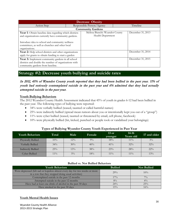| <b>Decrease Obesity</b>                                                                                                                                                                                                               |  |                                                      |  |                   |  |  |  |
|---------------------------------------------------------------------------------------------------------------------------------------------------------------------------------------------------------------------------------------|--|------------------------------------------------------|--|-------------------|--|--|--|
| Action Step                                                                                                                                                                                                                           |  | Responsible Person/Agency                            |  | Timeline          |  |  |  |
|                                                                                                                                                                                                                                       |  | <b>Community Gardens</b>                             |  |                   |  |  |  |
| Year 1: Obtain baseline data regarding which districts<br>and organizations currently have community gardens.<br>Introduce idea to school and community wellness<br>committees, as well as churches and other local<br>organizations. |  | Melissa Bianchi: Wyandot County<br>Health Department |  | December 31, 2013 |  |  |  |
| Year 2: Help school districts and other organizations<br>apply for grants to obtain funding to start a garden                                                                                                                         |  |                                                      |  | December 31, 2014 |  |  |  |
| Year 3: Implement community gardens in all school<br>districts and double the number of organizations with<br>community gardens from baseline.                                                                                        |  |                                                      |  | December 31, 2015 |  |  |  |

## **Strategy #2: Decrease youth bullying and suicide rates**

#### In 2012, 45% of Wyandot County youth reported that they had been bullied in the past year. 11% of youth had seriously contemplated suicide in the past year and 6% admitted that they had actually attempted suicide in the past year.

#### **Youth Bullying Behaviors**

The 2012 Wyandot County Health Assessment indicated that 45% of youth in grades 6-12 had been bullied in the past year. The following types of bullying were reported:

- 34% were verbally bullied (teased, taunted or called harmful names)
- 25% were indirectly bullied (spread mean rumors about you or intentionally kept you out of a "group")
- 11% were cyber bullied (teased, taunted or threatened by email, cell phone, facebook)
- 10% were physically bullied (hit, kicked, punched or people took or vandalized your belongings)

| <b>Youth Behaviors</b> | Total' | Male  | Female | $13$ or<br>vounger | $14-16$<br>Years old | 17 and older |
|------------------------|--------|-------|--------|--------------------|----------------------|--------------|
| Physically Bullied     | 10%    | 12%   | $9\%$  | 18%                | $11\%$               | $3\%$        |
| Verbally Bullied       | 34%    | 30%   | 40%    | $41\%$             | $32\%$               | 32%          |
| Indirectly Bullied     | 25%    | 13%   | 38%    | 23%                | 28%                  | $22\%$       |
| <b>Cyber Bullied</b>   | $11\%$ | $5\%$ | 18%    | $11\%$             | $11\%$               | 13%          |

#### **Types of Bullying Wyandot County Youth Experienced in Past Year**

#### **Bullied vs. Not Bullied Behaviors**

| <b>Youth Behaviors</b>                                                                                                            | <b>Bullied</b> | <b>Not Bullied</b> |
|-----------------------------------------------------------------------------------------------------------------------------------|----------------|--------------------|
| Were depressed (felt sad or hopeless almost every day for two weeks or more<br>in a row that they stopped doing usual activities) | 29%            | $10\%$             |
| Contemplated suicide in the past 12 months                                                                                        | $17\%$         | $7\%$              |
| Attempted suicide in the past 12 months                                                                                           | $8\%$          | $4\%$              |
| Have had at least one drink of alcohol in the past 30 days                                                                        | $24\%$         | 25%                |
| Have smoked in the past 30 days                                                                                                   | 15%            | 16%                |

#### **Youth Mental Health Issues**

Wyandot County Health Alliance 2013-2015 Strategic Plan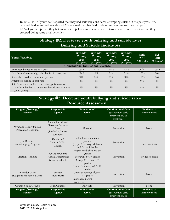In 2012 11% of youth self-reported that they had seriously considered attempting suicide in the past year. 6% of youth had attempted suicide and 2% reported that they had made more than one suicide attempt. 18% of youth reported they felt so sad or hopeless almost every day for two weeks or more in a row that they stopped doing some usual activities.

## **Strategy #2: Decrease youth bullying and suicide rates Bullying and Suicide Indicators**

| <b>Youth Variables</b>                                                                                                         | Wyandot<br><b>County</b><br>2006<br>$(6-12 \text{ grade})$ | Wyandot<br>County<br>2009<br>$(6-12 \text{ grade})$ | Wyandot<br><b>County</b><br>2012<br>$(6-12 \text{ grade})$ | Wyandot<br><b>County</b><br>2012<br>$(9-12 \text{ grade})$ | Ohio<br>2011<br>$(9-12 \text{ grade})$ | U.S.<br>2011<br>$(9-12 \text{ grade})$ |
|--------------------------------------------------------------------------------------------------------------------------------|------------------------------------------------------------|-----------------------------------------------------|------------------------------------------------------------|------------------------------------------------------------|----------------------------------------|----------------------------------------|
|                                                                                                                                |                                                            | <b>Unintentional Injuries and Violence</b>          |                                                            |                                                            |                                        |                                        |
| Ever been bullied in the past year                                                                                             | N/A                                                        | 47%                                                 | 45%                                                        | 43%                                                        | N/A                                    | N/A                                    |
| Ever been electronically/cyber bullied in past year                                                                            | N/A                                                        | $9\%$                                               | $11\%$                                                     | $11\%$                                                     | 15%                                    | 16%                                    |
| Seriously considered suicide in past year                                                                                      | 10%                                                        | 14%                                                 | $11\%$                                                     | $10\%$                                                     | $14\%$                                 | 16%                                    |
| Attempted suicide in past year                                                                                                 | $4\%$                                                      | $6\%$                                               | $6\%$                                                      | $6\%$                                                      | $9\%$                                  | $8\%$                                  |
| Suicide attempt resulted in an injury, poisoning, or<br>overdose that had to be treated by a doctor or nurse<br>(of all youth) | $1\%$                                                      | $2\%$                                               | $2\%$                                                      | $2\%$                                                      | $4\%$                                  | $2\%$                                  |

## **Strategy #2: Decrease youth bullying and suicide rates Resource Assessment**

| Program/Strategy/<br><b>Service</b>            | Responsible<br>Agency                                                                    | Population(s)<br><b>Served</b>                                                                                                                           | <b>Continuum of Care</b><br>(prevention, early<br>intervention, or<br>treatment) |                                            |
|------------------------------------------------|------------------------------------------------------------------------------------------|----------------------------------------------------------------------------------------------------------------------------------------------------------|----------------------------------------------------------------------------------|--------------------------------------------|
| Wyandot County Suicide<br>Prevention Coalition | Mental Health and<br><b>Recovery Services</b><br>Board<br>(Sandusky, Seneca,<br>Wyandot) | All youth<br>Prevention                                                                                                                                  |                                                                                  | None                                       |
| Jim Bisenius<br>Anti-Bullying Program          | Family and<br>Children's First<br>Council                                                | School staff, students,<br>parents<br>(Upper Sandusky, Mohawk<br>and Carey Schools)                                                                      | Prevention                                                                       | Pre/Post tests                             |
| LifeSkills Training                            | Wyandot County<br>Health Department<br>& Carey Schools                                   | Upper Sandusky: 3rd-5th<br>grades<br>Mohawk: 3rd-5th grades<br>Carey: 3rd, 6th and 8th<br>grades                                                         | Prevention                                                                       | Evidence-based                             |
| Wyandot Cares<br>(Religious education classes) | Private<br>$(non-profit)$                                                                | Upper Sandusky: 4th & 5th<br>grades<br>Upper Sandusky: 4 <sup>th</sup> , 5 <sup>th</sup> &<br>8 <sup>th</sup> grades<br>(must have parent<br>permission) | Prevention                                                                       | None                                       |
| Church Youth Groups                            | Local Churches                                                                           | All youth                                                                                                                                                | Prevention                                                                       | None                                       |
| Program/Strategy/<br><b>Service</b>            | Responsible<br>Agency                                                                    | Population(s)<br><b>Served</b>                                                                                                                           | Continuum of Care<br>(prevention, early<br>intervention, or                      | <b>Evidence</b> of<br><b>Effectiveness</b> |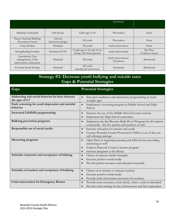|                                                                   |                             |                                                         | treatment)                       |                            |
|-------------------------------------------------------------------|-----------------------------|---------------------------------------------------------|----------------------------------|----------------------------|
| <b>Bullying Curriculum</b>                                        | Girl Scouts                 | Girls ages 6-18                                         | Prevention                       | <b>None</b>                |
| Pacers National Bullying<br>Prevention Center                     | Anyone<br>(facebook pledge) | All youth                                               | Prevention                       | None                       |
| Crisis Hotline                                                    | <b>Firelands</b>            | All youth                                               | Early intervention               | None                       |
| <b>Strengthening Families</b>                                     | Firelands/FCFC              | Youth ages 6-10 and 10-14<br>(along with their parents) | Early intervention               | Pre/Post<br>Evidence-based |
| Assessment, Case<br>management, Crisis<br>intervention, Education | Firelands                   | All youth                                               | Early intervention/<br>Treatment | Monitored                  |
| In-home based therapy                                             | <b>Firelands</b>            | All youth<br>(mostly pre-teen/teen)                     | Treatment                        | Monitored                  |

## **Strategy #2: Decrease youth bullying and suicide rates Gaps & Potential Strategies**

| Gaps                                                                | <b>Potential Strategies</b>                                                                                                                                      |
|---------------------------------------------------------------------|------------------------------------------------------------------------------------------------------------------------------------------------------------------|
| Addressing anti-social behavior for boys between<br>the ages of 5-7 | Start peer mediation and elementary programming at much<br>younger ages                                                                                          |
| Early screening for youth depression and suicidal<br>behavior       | Implement a screening program in Middle School and High<br>$\bullet$<br>School                                                                                   |
| <b>Increased LifeSkills programming</b>                             | Increase the use of the Middle School booster sessions<br>Implement the High School curriculum                                                                   |
| <b>Bullying prevention programs</b>                                 | Implement the Jim Bisenius Bully-Proof Program for all students<br>countywide. Involve parents and teachers as well                                              |
| Responsible use of social media                                     | Increase education for parents and youth<br>$\bullet$<br>Contact Wyandot County Prosecutor's Office to see if they are<br>still offering trainings               |
| <b>Mentoring programs</b>                                           | Open Door is beginning tutoring and will look into providing<br>mentoring as well<br>Explore Hancock County's mentor program<br>Increase programs at the library |
| Attitudes of parents and acceptance of bullying                     | Classes to increase family strengths<br>Increase positive social media<br>Provide parent resources and education materials                                       |
| Attitudes of teachers and acceptance of bullying                    | Classes or in-services to educate teachers<br>Increase positive social media<br>Provide crisis intervention resources for teachers                               |
| <b>Crisis intervention for Emergency Rooms</b>                      | Provide more resources, more timely, when a crisis is identified<br>Provide crisis training for law enforcement and first responders                             |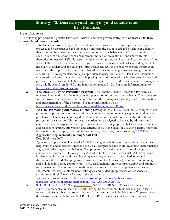## **Strategy #2: Decrease youth bullying and suicide rates Best Practices**

#### **Best Practices**

The following programs and policies have been reviewed and have proven strategies to **address substance abuse related issues in youth**:

- **1. LifeSkills Training (LST) –** LST is a school-based program that aims to prevent alcohol, tobacco, and marijuana use and violence by targeting the major social and psychological factors that promote the initiation of substance use and other risky behaviors. LST is based on both the social influence and competence enhancement models of prevention. Consistent with this theoretical framework, LST addresses multiple risk and protective factors and teaches personal and social skills that build resilience and help youth navigate developmental tasks, including the skills necessary to understand and resist pro-drug influences. LST is designed to provide information relevant to the important life transitions that adolescents and young teens face, using culturally sensitive and developmentally and age-appropriate language and content. Facilitated discussion, structured small group activities, and role-playing scenarios are used to stimulate participation and promote the acquisition of skills. Separate LST programs are offered for elementary school (grades 3-6), middle school (grades 6-9), and high school (grades 9-12). For more information, go to [http://www.lifeskillstraining.com.](http://www.lifeskillstraining.com/)
- **2. The Olweus Bullying Prevention Program-** The Olweus Bullying Prevention Program is a universal intervention for the reduction and prevention of bully/victim problems. The main arena for the program is the school, and school staff has the primary responsibility for the introduction and implementation of the program. For more information go to: <http://www.colorado.edu/cspv/blueprints/modelprograms/BPP.html>
- **3. PATHS (Promoting Alternative Thinking Strategies)** PATHS Curriculum is a comprehensive program for promoting emotional and social competencies and reducing aggression and behavior problems in elementary school-aged children while simultaneously enhancing the educational process in the classroom. This innovative curriculum is designed to be used by educators and counselors in a multi-year, universal prevention model. Although primarily focused on the school and classroom settings, information and activities are also included for use with parents. For more information go to:<http://www.colorado.edu/cspv/blueprints/modelprograms/PATHS.html>

#### **4. Aggression Replacement Training® (ART®)**

#### Date Published: 2007

Aggression Replacement Training® (ART®) is a cognitive behavioral intervention program to help children and adolescents improve social skill competence and moral reasoning, better manage anger, and reduce aggressive behavior. The program specifically targets chronically aggressive children and adolescents. Developed by Arnold P. Goldstein and Barry Glick, ART® has been implemented in schools and juvenile delinquency programs across the United States and throughout the world. The program consists of 10 weeks (30 sessions) of intervention training, and is divided into three components—social skills training, anger-control training, and training in moral reasoning. Clients attend a one-hour session in each of these components each week. Incremental learning, reinforcement techniques, and guided group discussions enhance skill acquisition and reinforce the lessons in the curriculum.

For more information go to: [http://www.promoteprevent.org/publications/ebi](http://www.promoteprevent.org/publications/ebi-factsheets/aggression-replacement-training%C2%AE-art%C2%AE)[factsheets/aggression-replacement-training%C2%AE-art%C2%AE](http://www.promoteprevent.org/publications/ebi-factsheets/aggression-replacement-training%C2%AE-art%C2%AE)

**5. STEPS TO RESPECT**: The [research-based](http://www.cfchildren.org/programs/str/research/) STEPS TO RESPECT program teaches elementary students to recognize, refuse, and report bullying, be assertive, and build friendships. In fact, a recent [study](http://www.cfchildren.org/programs/str/research/decrease-in-bullying/) found that the program led to a 31 percent decline in bullying and a 70 percent cut in destructive bystander behavior. STEPS TO RESPECT lessons can help kids feel safe and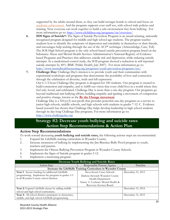supported by the adults around them, so they can build stronger bonds to school and focus on [academic achievement.](http://www.cfchildren.org/programs/str/standards/) And the program supports your staff too, with school wide policies and training. Now everyone can work together to build a safe environment free from bullying. For more information go to: <http://www.cfchildren.org/programs/str/overview/>

- **6. SOS Signs of Suicide®:** The Signs of Suicide Prevention Program is an award-winning, nationally recognized program designed for middle and high school-age students. The program teaches students how to identify the symptoms of depression and suicidality in themselves or their friends, and encourages help-seeking through the use of the ACT® technique (Acknowledge, Care, Tell). The SOS High School program is the only school-based suicide prevention program listed on the Substance Abuse and Mental Health Services Administration's National Registry of Evidencebased Programs and Practices that addresses suicide risk and depression, while reducing suicide attempts. In a randomized control study, the SOS program showed a reduction in self-reported suicide attempts by 40% (BMC Public Health, July 2007). For more information go to: <http://www.mentalhealthscreening.org/programs/youth-prevention-programs/sos/>
- **7. Challenge Day:** Challenge Day's mission is to provide youth and their communities with experiential workshops and programs that demonstrate the possibility of love and connection through the celebration of diversity, truth and full expression.

Our 6 1/2-hour Challenge Day program is designed for 100 students. Our program is created to build connection and empathy, and to fulfill our vision that every child lives in a world where they feel safe, loved, and celebrated. Challenge Day is more than a one-day program. Our programs go beyond traditional anti-bullying efforts, building empathy and igniting a movement of compassion and positive change, known as the **[Be the Change movement](http://www.challengeday.org/bethechange)**.

Challenge Day is a  $501(c)(3)$  non-profit that provides powerful one-day programs as a service to junior high schools, middle schools, and high schools with students in grades 7-12. C. Evidence based research has shown that Challenge Day helps develop leadership in high school students through its day-long Challenge Day programs. For more information go to: [http://www.challengeday.org](http://www.challengeday.org/)

## **Strategy #2: Decrease youth bullying and suicide rates Action Step Recommendations & Action Plan**

#### **Action Step Recommendations**

To work toward decreasing **youth bullying and suicide rates,** the following actions steps are recommended:

- 1. Expand the LifeSkills training curriculum in Wyandot County.
- 2. Increase awareness of bullying by implementing the Jim Bisenius Bully Proof program to youth, teachers and parents.
- 3. Implement the Olweus Bullying Prevention Program in Wyandot County Schools.
- 4. Implement the Signs of Suicide program in grades 5-12.
- 5. Implement a mentoring program.

| Decrease Youth Bullying and Suicide Rates                     |                                   |                   |  |  |  |  |
|---------------------------------------------------------------|-----------------------------------|-------------------|--|--|--|--|
| Action Step                                                   | Responsible Person/Agency         | Timeline          |  |  |  |  |
| Increase the LifeSkills Training Curriculum in Wyandot County |                                   |                   |  |  |  |  |
| Year 1: Secure funding for additional LifeSkills              | Steve Kozel: Carey Schools        | December 31, 2013 |  |  |  |  |
| programming. Implement the program in grades 3-5              | Darlene Steward: Wyandot County   |                   |  |  |  |  |
| in all Wyandot County school districts                        | Health Department                 |                   |  |  |  |  |
|                                                               | Nancy A. Cochran: Mental Health & |                   |  |  |  |  |
|                                                               | Recovery Services Board           |                   |  |  |  |  |
| Year 2: Expand LifeSkills classes by adding middle            |                                   | December 31, 2014 |  |  |  |  |
| school and high school curriculums.                           |                                   |                   |  |  |  |  |
| Year 3: All school districts participate in elementary,       |                                   | December 31, 2015 |  |  |  |  |
| middle, and high school LifeSkills programming.               |                                   |                   |  |  |  |  |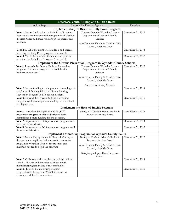| <b>Decrease Youth Bulling and Suicide Rates</b>                                                                                                                                                    |                                                                                                                                                                           |                   |  |  |
|----------------------------------------------------------------------------------------------------------------------------------------------------------------------------------------------------|---------------------------------------------------------------------------------------------------------------------------------------------------------------------------|-------------------|--|--|
| Action Step                                                                                                                                                                                        | Responsible Person/Agency                                                                                                                                                 | Timeline          |  |  |
|                                                                                                                                                                                                    | <b>Implement the Jim Bisenius Bully Proof Program</b>                                                                                                                     |                   |  |  |
| Year 1: Secure funding for the Bully Proof Program.<br>Secure a date to implement the program in all 3 school<br>districts. Offer additional workshops for parents and<br>teachers.                | Thomas Bennett: Wyandot County<br>Department of Jobs and Family<br>Services<br>Ann Denman: Family & Children First                                                        | December 31, 2013 |  |  |
|                                                                                                                                                                                                    | Council, Help Me Grow                                                                                                                                                     |                   |  |  |
| Year 2: Double the number of students and parents<br>receiving the Bully Proof program from year 1.                                                                                                |                                                                                                                                                                           | December 31, 2014 |  |  |
| Year 3: Triple the number of students and parents<br>receiving the Bully Proof program from year 1.                                                                                                |                                                                                                                                                                           | December 31, 2015 |  |  |
|                                                                                                                                                                                                    | Implement the Olweus Prevention Program in Wyandot County Schools                                                                                                         |                   |  |  |
| Year 1: Research the Olweus Bullying Prevention<br>program. Introduce program to school district<br>wellness committees.                                                                           | Thomas Bennett: Wyandot County<br>Department of Jobs and Family<br>Services<br>Ann Denman: Family & Children First<br>Council, Help Me Grow                               | December 31, 2013 |  |  |
|                                                                                                                                                                                                    | Steve Kozel: Carey Schools                                                                                                                                                |                   |  |  |
| Year 2: Secure funding for the program through grants<br>and/or local funding. Pilot the Olweus Bullying<br>Prevention Program in all 3 school districts.                                          |                                                                                                                                                                           | December 31, 2014 |  |  |
| Year 3: Expand the Olweus Bullying Prevention<br>Program to additional grades including middle school<br>and high school.                                                                          |                                                                                                                                                                           | December 31, 2015 |  |  |
|                                                                                                                                                                                                    | <b>Implement the Signs of Suicide Program</b>                                                                                                                             |                   |  |  |
| Year 1: Introduce the Signs of Suicide (SOS)<br>prevention program to school district wellness<br>committees. Secure funding for the program.                                                      | Nancy A. Cochran: Mental Health &<br>Recovery Services Board                                                                                                              | December 31, 2013 |  |  |
| Year 2: Implement the SOS prevention program in at<br>least one school district.                                                                                                                   |                                                                                                                                                                           | December 31, 2014 |  |  |
| Year 3: Implement the SOS prevention program in all<br>three school districts.                                                                                                                     |                                                                                                                                                                           | December 31, 2015 |  |  |
|                                                                                                                                                                                                    | Implement a Mentoring Program for Wyandot County Youth                                                                                                                    |                   |  |  |
| Year 1: Meet with key leaders in Hancock County to<br>discuss how to replicate their successful mentoring<br>program in Wyandot County. Secure space and<br>materials needed to begin the program. | Nancy A. Cochran: Mental Health &<br>Recovery Services Board<br>Ann Denman: Family & Children First<br>Council, Help Me Grow<br>Kris Joseph: Open Door Resource<br>Center | December 31, 2013 |  |  |
| Year 2: Collaborate with local organizations such as<br>schools, libraries and churches to pilot a youth<br>mentoring program in one local community.                                              |                                                                                                                                                                           | December 31, 2014 |  |  |
| Year 3. Expand the mentoring program<br>geographically throughout Wyandot County to<br>encompass all local communities.                                                                            |                                                                                                                                                                           | December 31, 2015 |  |  |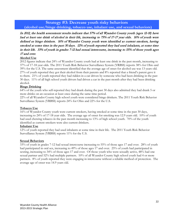## **Strategy #3: Decrease youth risky behaviors (alcohol use/binge drinking, tobacco use, inhalant use, and sexual behaviors)**

In 2012, the health assessment results indicate that 57% of all Wyandot County youth (ages 12-18) have had at least one drink of alcohol in their life, increasing to 75% of 17-17 year olds. 16% of youth were defined as binge drinkers. 16% of Wyandot County youth were identified as current smokers, having smoked at some time in the past 30 days. 12% of youth reported they had used inhalants, at some time in their life. 33% of youth in grades 7-12 had sexual intercourse, increasing to 55% of those youth ages 17 and over.

#### **Alcohol Use**

2012 figures indicate that 24% of Wyandot County youth had at least one drink in the past month, increasing to 37% of 17-18 year olds. The 2011 Youth Risk Behavior Surveillance System (YRBSS) reports 38% for Ohio and 39% for the U.S. The same assessment identified that the average age of onset for alcohol use was 13 years old. 27% of youth reported they got their alcohol from their parents and 8% reported that a friend's parent gave it to them. 21% of youth reported they had ridden in a car driven by someone who had been drinking in the past 30 days. 11% of all high school youth drivers had driven a car in the past month after they had been drinking alcohol.

#### **Binge Drinking**

64% of the youth who self-reported they had drank during the past 30 days also admitted they had drank 5 or more drinks on an occasion at least once during the same time period.

22% of all Wyandot County high school youth were considered binge drinkers. The 2011 Youth Risk Behavior Surveillance System (YRBSS) reports 24% for Ohio and 22% for the U.S.

#### **Tobacco Use**

16% of Wyandot County youth were current smokers, having smoked at some time in the past 30 days, increasing to 24% of 17-18 year olds. The average age of onset for smoking was 12.9 years old. 10% of youth had used chewing tobacco in the past month increasing to 13% of high school youth. 70% of the youth identified as current smokers were also current drinkers.

#### **Inhalant Use**

12% of youth reported they had used inhalants at some time in their life. The 2011 Youth Risk Behavior Surveillance System (YRBSS) reports 11% for the U.S.

#### **Sexual Behaviors**

33% of youth in grades 7-12 had sexual intercourse increasing to 55% of those ages 17 and over. 28% of youth had participated in oral sex, increasing to 49% of those ages 17 and over. 25% of youth had participated in sexting, increasing to 34% of those ages 17 and over. Of those youth who were sexually active, 48% had one sexual partner and 52% had multiple partners. 10% of all Wyandot County high school youth had 4 or more partners. 8% of youth reported they were engaging in intercourse without a reliable method of protection. The average age of onset was 14.9 years old.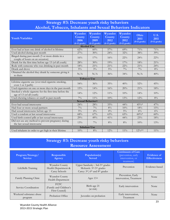## **Strategy #3: Decrease youth risky behaviors Alcohol, Tobacco, Inhalants and Sexual Behaviors Indicators**

| <b>Youth Variables</b>                                                             | Wyandot<br>County<br>2006<br>$(6-12)$ grade) | Wyandot<br>County<br>2009<br>$(6-12)$ grade) | Wyandot<br>County<br>2012<br>$(6-12 \text{ grade})$ | Wyandot<br>County<br>2012<br>$(9-12 \text{ grade})$ | Ohio<br>2011<br>$(9-12 \text{ grade})$ | U.S.<br>2011<br>$(9-12 grade)$ |
|------------------------------------------------------------------------------------|----------------------------------------------|----------------------------------------------|-----------------------------------------------------|-----------------------------------------------------|----------------------------------------|--------------------------------|
|                                                                                    | <b>Alcohol Use</b>                           |                                              |                                                     |                                                     |                                        |                                |
| Ever had at least one drink of alcohol in lifetime                                 | 62%                                          | 60%                                          | 57%                                                 | 69%                                                 | $71\%$                                 | 71%                            |
| Used alcohol during past month                                                     | 27%                                          | 30%                                          | 24%                                                 | 32%                                                 | 38%                                    | 39%                            |
| Binged during past month (5 or more drinks in a<br>couple of hours on an occasion) | 16%                                          | 17%                                          | 16%                                                 | $22\%$                                              | 24%                                    | $22\%$                         |
| Drank for the first time before age 13 (of all youth)                              | 28%                                          | 30%                                          | 19%                                                 | 17%                                                 | 18%                                    | 21%                            |
| Rode with someone who was drinking in past month                                   | 18%                                          | 21%                                          | 21%                                                 | $22\%$                                              | 21%                                    | 24%                            |
| Drank and drove                                                                    | $5\%$                                        | $3\%$                                        | $5\%$                                               | $7\%$                                               | $7\%$                                  | $8\%$                          |
| Obtained the alcohol they drank by someone giving it<br>to them                    | N/A                                          | N/A                                          | 36%                                                 | 34%                                                 | N/A                                    | 40%                            |
| <b>Tobacco Use</b>                                                                 |                                              |                                              |                                                     |                                                     |                                        |                                |
| Lifetime cigarette use (ever tried cigarette smoking,<br>even 1 or 2 puffs)        | 54%                                          | 36%                                          | 35%                                                 | 40%                                                 | 52%                                    | 45%                            |
| Used cigarettes on one or more days in the past month                              | 15%                                          | 14%                                          | 16%                                                 | 20%                                                 | 21%                                    | 18%                            |
| Smoked a whole cigarette for the first time before the<br>age of 13 (of all youth) | 14%                                          | $12\%$                                       | $11\%$                                              | 10%                                                 | 14%                                    | 10%                            |
| Used chewing tobacco or snuff in past month                                        | $7\%$                                        | $11\%$                                       | 10%                                                 | 13%                                                 | $12\%$                                 | 8%                             |
|                                                                                    | Sexual Behavior+                             |                                              |                                                     |                                                     |                                        |                                |
| Ever had sexual intercourse                                                        | 24%                                          | 28%                                          | 33%                                                 | 44%                                                 | 45%*                                   | 47%                            |
| Had four or more sexual partners                                                   | $7\%$                                        | $7\%$                                        | $8\%$                                               | 10%                                                 | 18%                                    | 15%                            |
| Had sexual intercourse before age 13                                               | $5\%$                                        | $4\%$                                        | $4\%$                                               | $5\%$                                               | $6\%$                                  | $6\%$                          |
| Used a condom at last sexual intercourse                                           | 68%                                          | 67%                                          | 63%                                                 | 65%                                                 | $60\%*$                                | 60%                            |
| Used birth control pills at last sexual intercourse                                | 29%                                          | 49%                                          | 41%                                                 | 44%                                                 | 23%                                    | 18%                            |
| Did not use any method to prevent pregnancy during<br>the last sexual intercourse  | 13%                                          | $7\%$                                        | $8\%$                                               | $8\%$                                               | 10%                                    | 13%                            |
|                                                                                    | <b>Inhalant Use</b>                          |                                              |                                                     |                                                     |                                        |                                |
| Used inhalants in order to get high in their lifetime                              | 10%                                          | $8\%$                                        | 12%                                                 | $11\%$                                              | $12\%**$                               | $11\%$                         |

## **Strategy #3: Decrease youth risky behaviors Resource Assessment**

| Program/Strategy/<br><b>Service</b> | <b>Responsible</b><br>Agency                            | Population(s)<br><b>Served</b>                                                                         | <b>Continuum of Care</b><br>(prevention, early<br>intervention, or<br>treatment) | <b>Evidence of</b><br><b>Effectiveness</b> |
|-------------------------------------|---------------------------------------------------------|--------------------------------------------------------------------------------------------------------|----------------------------------------------------------------------------------|--------------------------------------------|
| LifeSkills Training                 | Wyandot County<br>Health Department &<br>Carey Schools  | Upper Sandusky: 3rd-5 <sup>th</sup> grades<br>Mohawk: 3rd-5th grades<br>Carey: 3rd, 6th and 8th grades | Prevention                                                                       | Evidence-based                             |
| Family Planning Clinic              | Wyandot County<br>Health Department                     | Ages $13+$                                                                                             | Prevention, Early<br>intervention, Treatment                                     | None                                       |
| Service Coordination                | <b>FCFC</b><br>(Family and Children's<br>First Council) | Birth-age 21<br>(at risk)                                                                              | Early intervention                                                               | None                                       |
| Weekend substance abuse<br>program  | Probation Office                                        | Juveniles on probation                                                                                 | Early intervention,<br>Treatment                                                 | None                                       |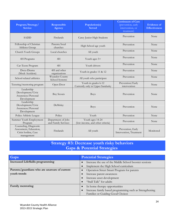| Program/Strategy/<br><b>Service</b>                                                    | Responsible<br>Agency                     | Population(s)<br><b>Served</b>                           | <b>Continuum of Care</b><br>(prevention, early<br>intervention, or<br>treatment) | <b>Evidence</b> of<br><b>Effectiveness</b> |
|----------------------------------------------------------------------------------------|-------------------------------------------|----------------------------------------------------------|----------------------------------------------------------------------------------|--------------------------------------------|
| <b>SADD</b>                                                                            | Firelands                                 | Carey Junior High Students                               | Prevention                                                                       | None                                       |
| Fellowship of Christian<br>Athletes Group                                              | Parents/local<br>churches                 | High School age youth                                    | Prevention                                                                       | None                                       |
| Church Youth Groups                                                                    | Local churches                            | All youth                                                | Prevention                                                                       | None                                       |
| 4H Programs                                                                            | 4H                                        | Youth ages 5+                                            | Prevention                                                                       | None                                       |
| Car-Teens Program                                                                      | 4H                                        | Youth drivers                                            | Prevention                                                                       | None                                       |
| Docu-Drama<br>(Mock Accident)                                                          | 4H and other<br>organizations             | Youth in grades 11 & 12                                  | Prevention                                                                       | None                                       |
| School-related athletics                                                               | Wyandot County<br>School Systems          | All youth who participate                                | Prevention                                                                       | None                                       |
| Tutoring/mentoring program                                                             | Open Door                                 | Youth in grades k-12<br>Currently only in Upper Sandusky | Prevention/Early<br>intervention                                                 | None                                       |
| Leadership<br>Development/Civic<br>Awareness/Personal<br>Development                   | <b>Boy Scouts</b>                         | <b>Boys</b>                                              | Prevention                                                                       | None                                       |
| Leadership<br>Development/Civic<br>Awareness/Personal<br>Development                   | DeMolay                                   | <b>Boys</b>                                              | Prevention                                                                       | None                                       |
| Police Athletic League                                                                 | Police                                    | Youth                                                    | Prevention                                                                       | None                                       |
| Summer Youth Employment<br>Program                                                     | Department of Jobs<br>and Family Services | Youth ages 14-24<br>(low-income, and other criteria)     | Prevention                                                                       | None                                       |
| Counseling, Diagnostic<br>Assessment, Education,<br>Crisis hotline, Case<br>management | Firelands                                 | All youth                                                | Prevention, Early<br>Intervention, Treatment                                     | Monitored                                  |

## **Strategy #3: Decrease youth risky behaviors Gaps & Potential Strategies**

| Gaps                                         | <b>Potential Strategies</b>                             |  |
|----------------------------------------------|---------------------------------------------------------|--|
| <b>Increased LifeSkills programming</b>      | Increase the use of the Middle School booster sessions  |  |
|                                              | Implement the High School curriculum                    |  |
| Parents/guardians who are unaware of current | Operation Street Smart Program for parents              |  |
| youth trends                                 | Increase parent awareness                               |  |
|                                              | Increase asset development                              |  |
|                                              | "Stall Talk" for adults                                 |  |
| Family mentoring                             | In home therapy opportunities                           |  |
|                                              | Increase family based programming such as Strengthening |  |
|                                              | Families or Guiding Good Choices                        |  |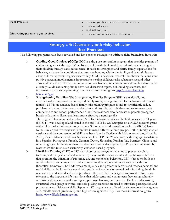| <b>Peer Pressure</b>               | Increase youth abstinence education materials |  |
|------------------------------------|-----------------------------------------------|--|
|                                    | Increase education                            |  |
|                                    | Stall talk for youth                          |  |
| Motivating parents to get involved | Increase communication and awareness          |  |

## **Strategy #3: Decrease youth risky behaviors Best Practices**

The following programs have been reviewed and have proven strategies to **address risky behaviors in youth**:

- **1. Guiding Good Choices (GGC):** GGC is a drug use prevention program that provides parents of children in grades 4 through 8 (9 to 14 years old) with the knowledge and skills needed to guide their children through early adolescence. It seeks to strengthen and clarify family expectations for behavior, enhance the conditions that promote bonding within the family, and teach skills that allow children to resist drug use successfully. GGC is based on research that shows that consistent, positive parental involvement is important to helping children resist substance use and other antisocial behaviors. The current intervention is a five-session curriculum and families also receive a Family Guide containing family activities, discussion topics, skill-building exercises, and information on positive parenting. For more information go to [http://www.channing](http://www.channing-bete.com/ggc)[bete.com/ggc.](http://www.channing-bete.com/ggc)
- **2. Strengthening Families:** The Strengthening Families Program (SFP) is a nationally and internationally recognized parenting and family strengthening program for high-risk and regular families. SFP is an evidence-based family skills training program found to significantly reduce problem behaviors, delinquency, and alcohol and drug abuse in children and to improve social competencies and school performance. Child maltreatment also decreases as parents strengthen bonds with their children and learn more effective parenting skills

The original 14-session evidence-based SFP for high-risk families with children ages 6 to 11 years (SFP6-11) was developed and tested in the mid 1980s by Dr. Kumpfer on a NIDA research grant with children of substance abusing parents. Subsequent randomized control trials (RCTs) have found similar positive results with families in many different ethnic groups. Both culturally adapted versions and the core version of SFP have been found effective with African-American, Hispanic, Asian, Pacific Islander, and First Nations families. SFP is in 26 countries with language translations into Spanish, Portuguese, French, German, Dutch, Slovenian, Russian, Tai, Burmese, Chinese and other languages. In the more than two decades since its development, SFP has been reviewed by researchers and rated as an exemplary, evidence-based program.

**3. LifeSkills Training (LST) –** LST is a school-based program that aims to prevent alcohol, tobacco, and marijuana use and violence by targeting the major social and psychological factors that promote the initiation of substance use and other risky behaviors. LST is based on both the social influence and competence enhancement models of prevention. Consistent with this theoretical framework, LST addresses multiple risk and protective factors and teaches personal and social skills that build resilience and help youth navigate developmental tasks, including the skills necessary to understand and resist pro-drug influences. LST is designed to provide information relevant to the important life transitions that adolescents and young teens face, using culturally sensitive and developmentally and age-appropriate language and content. Facilitated discussion, structured small group activities, and role-playing scenarios are used to stimulate participation and promote the acquisition of skills. Separate LST programs are offered for elementary school (grades 3-6), middle school (grades 6-9), and high school (grades 9-12). For more information, go to [http://www.lifeskillstraining.com.](http://www.lifeskillstraining.com/)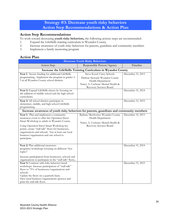## **Strategy #3: Decrease youth risky behaviors Action Step Recommendations & Action Plan**

#### **Action Step Recommendations**

To work toward decreasing **youth risky behaviors,** the following actions steps are recommended:

- 1. Expand the LifeSkills training curriculum in Wyandot County.
- 2. Increase awareness of youth risky behaviors for parents, guardians and community members
- 3. Implement a family mentoring program

#### **Action Plan**

| <b>Decrease Youth Risky Behaviors</b>                                                                                                                                                                                                                                                                                                                     |                                                                                                                                                    |                   |  |  |
|-----------------------------------------------------------------------------------------------------------------------------------------------------------------------------------------------------------------------------------------------------------------------------------------------------------------------------------------------------------|----------------------------------------------------------------------------------------------------------------------------------------------------|-------------------|--|--|
| <b>Action Step</b>                                                                                                                                                                                                                                                                                                                                        | Responsible Person/Agency                                                                                                                          | Timeline          |  |  |
| Increase the LifeSkills Training Curriculum in Wyandot County                                                                                                                                                                                                                                                                                             |                                                                                                                                                    |                   |  |  |
| Year 1: Secure funding for additional LifeSkills<br>programming. Implement the program in grades 3-<br>5 in all Wyandot County school districts                                                                                                                                                                                                           | Steve Kozel: Carey Schools<br>Darlene Steward: Wyandot County<br>Health Department<br>Nancy A. Cochran: Mental Health &<br>Recovery Services Board | December 31, 2013 |  |  |
| Year 2: Expand LifeSkills classes by focusing on<br>the addition of middle school and the high school<br>curriculums.                                                                                                                                                                                                                                     |                                                                                                                                                    | December 31, 2014 |  |  |
| Year 3: All school districts participate in<br>elementary, middle, and high school LifeSkills<br>programming.                                                                                                                                                                                                                                             |                                                                                                                                                    | December 31, 2015 |  |  |
| Increase awareness of youth risky behaviors for parents, guardians and community members                                                                                                                                                                                                                                                                  |                                                                                                                                                    |                   |  |  |
| Year 1: Plan and implement a community<br>awareness event to offer the Operation Street<br>Smart Workshop to adults in Wyandot County.<br>Using Operation Street Smart Workshop key<br>points, create "stall talk" flyers for businesses,<br>organizations and schools. Get at least one local<br>business/organization and one school to<br>participate. | Barbara Mewhorter: Wyandot County<br>Health Department<br>Nancy A. Cochran: Mental Health &<br>Recovery Services Board                             | December 31, 2013 |  |  |
| Year 2: Plan additional awareness<br>programs/workshops focusing on different "hot<br>topics"<br>Increase participation from businesses, schools and<br>organizations to participate in the "stall talk" flyers,.                                                                                                                                         |                                                                                                                                                    | December 31, 2014 |  |  |
| Year 3: Continue with risky behavior/trend<br>workshops. Increase participation of "stall talk"<br>flyers to 75% of businesses/organizations and<br>schools.<br>Update the flyers on a quarterly basis.<br>Have local business/organizations sponsor and<br>print the stall talk flyers.                                                                  |                                                                                                                                                    | December 31, 2015 |  |  |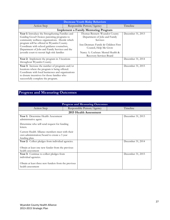| <b>Decrease Youth Risky Behaviors</b>                                                                                                                                                                                                                                                                                                           |  |                                                                                                                                                                                                             |  |                   |  |
|-------------------------------------------------------------------------------------------------------------------------------------------------------------------------------------------------------------------------------------------------------------------------------------------------------------------------------------------------|--|-------------------------------------------------------------------------------------------------------------------------------------------------------------------------------------------------------------|--|-------------------|--|
| Action Step                                                                                                                                                                                                                                                                                                                                     |  | Responsible Person/Agency                                                                                                                                                                                   |  | Timeline          |  |
| <b>Implement a Family Mentoring Program</b>                                                                                                                                                                                                                                                                                                     |  |                                                                                                                                                                                                             |  |                   |  |
| Year 1: Introduce the Strengthening Families and<br>Guiding Good Choices parenting programs to<br>community wellness organizations. Decide which<br>program will be offered in Wyandot County.<br>Coordinate with school guidance counselors,<br>Department of Jobs and Family Services and the<br>juvenile court to recruit high risk families |  | Thomas Bennett: Wyandot County<br>Department of Jobs and Family<br>Services<br>Ann Denman: Family & Children First<br>Council, Help Me Grow<br>Nancy A. Cochran: Mental Health &<br>Recovery Services Board |  | December 31, 2013 |  |
| Year 2: Implement the program in 3 locations<br>throughout Wyandot County.                                                                                                                                                                                                                                                                      |  |                                                                                                                                                                                                             |  | December 31, 2014 |  |
| Year 3: Increase the number of programs and/or<br>locations where the program is being offered.<br>Coordinate with local businesses and organizations<br>to donate incentives for those families who<br>successfully complete the program.                                                                                                      |  |                                                                                                                                                                                                             |  | December 31, 2015 |  |

## **Progress and Measuring Outcomes**

| <b>Progress and Measuring Outcomes</b>                                                                          |                           |  |          |                   |  |
|-----------------------------------------------------------------------------------------------------------------|---------------------------|--|----------|-------------------|--|
| Action Step                                                                                                     | Responsible Person/Agency |  | Timeline |                   |  |
| 2015 Health Assessment                                                                                          |                           |  |          |                   |  |
| Year 1: Determine Health Assessment<br>administrative agent.                                                    |                           |  |          | December 31, 2013 |  |
| Determine who will send request for funding<br>letters.                                                         |                           |  |          |                   |  |
| Current Health Alliance members meet with their<br>own administration/board to create a 3 year<br>funding plan. |                           |  |          |                   |  |
| Year 2: Collect pledges from individual agencies.                                                               |                           |  |          | December 31, 2014 |  |
| Obtain at least one new funder from the previous<br>health assessment                                           |                           |  |          |                   |  |
| Year 3: Continue to collect pledges from<br>individual agencies.                                                |                           |  |          | December 31, 2015 |  |
| Obtain at least three new funders from the previous<br>health assessment                                        |                           |  |          |                   |  |